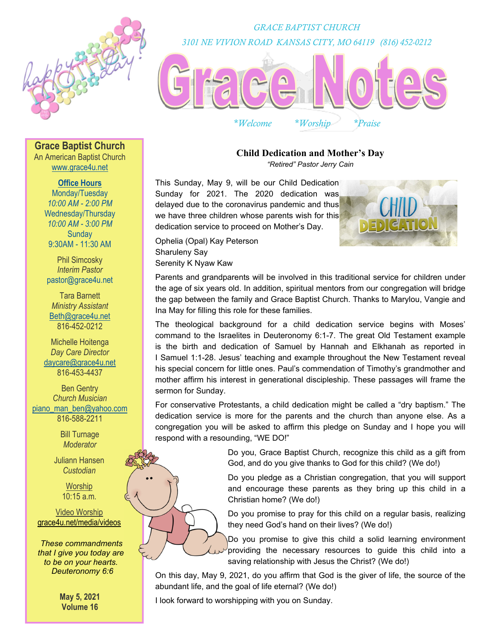

*GRACE BAPTIST CHURCH 3101 NE VIVION ROAD KANSAS CITY, MO 64119 (816) 452-0212* 



*\*Welcome \*Worship \*Praise* 

**Grace Baptist Church** 

An American Baptist Church www.grace4u.net

# **Office Hours**

Monday/Tuesday *10:00 AM - 2:00 PM*  Wednesday/Thursday *10:00 AM - 3:00 PM*  **Sundav** 9:30AM - 11:30 AM

Phil Simcosky *Interim Pastor*  pastor@grace4u.net

Tara Barnett *Ministry Assistant*  Beth@grace4u.net 816-452-0212

Michelle Hoitenga *Day Care Director*  daycare@grace4u.net 816-453-4437

Ben Gentry *Church Musician*  piano\_man\_ben@yahoo.com 816-588-2211

> Bill Turnage *Moderator*

Juliann Hansen *Custodian* 

> **Worship** 10:15 a.m.

## Video Worship grace4u.net/media/videos

*These commandments that I give you today are to be on your hearts. Deuteronomy 6:6*

> **May 5, 2021 Volume 16**

# **Child Dedication and Mother's Day**

*"Retired" Pastor Jerry Cain*

This Sunday, May 9, will be our Child Dedication Sunday for 2021. The 2020 dedication was delayed due to the coronavirus pandemic and thus we have three children whose parents wish for this dedication service to proceed on Mother's Day.

Ophelia (Opal) Kay Peterson Sharuleny Say Serenity K Nyaw Kaw

Parents and grandparents will be involved in this traditional service for children under the age of six years old. In addition, spiritual mentors from our congregation will bridge the gap between the family and Grace Baptist Church. Thanks to Marylou, Vangie and Ina May for filling this role for these families.

The theological background for a child dedication service begins with Moses' command to the Israelites in Deuteronomy 6:1-7. The great Old Testament example is the birth and dedication of Samuel by Hannah and Elkhanah as reported in I Samuel 1:1-28. Jesus' teaching and example throughout the New Testament reveal his special concern for little ones. Paul's commendation of Timothy's grandmother and mother affirm his interest in generational discipleship. These passages will frame the sermon for Sunday.

For conservative Protestants, a child dedication might be called a "dry baptism." The dedication service is more for the parents and the church than anyone else. As a congregation you will be asked to affirm this pledge on Sunday and I hope you will respond with a resounding, "WE DO!"

> Do you, Grace Baptist Church, recognize this child as a gift from God, and do you give thanks to God for this child? (We do!)

> Do you pledge as a Christian congregation, that you will support and encourage these parents as they bring up this child in a Christian home? (We do!)

> Do you promise to pray for this child on a regular basis, realizing they need God's hand on their lives? (We do!)

Do you promise to give this child a solid learning environment providing the necessary resources to guide this child into a saving relationship with Jesus the Christ? (We do!)

On this day, May 9, 2021, do you affirm that God is the giver of life, the source of the abundant life, and the goal of life eternal? (We do!)

I look forward to worshipping with you on Sunday.